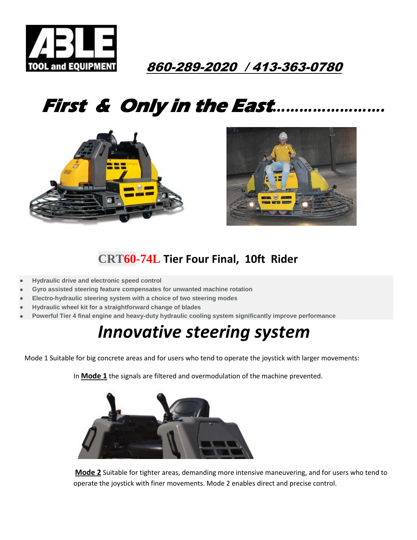

#### 860-289-2020 / 413-363-0780

# **First & Only in the East***…………………….*





#### **[CRT60-](http://www.wackerneuson.us/en/products/concrete-technology/trowels/ride-on-trowels/model/crt60/)74L Tier Four Final, 10ft Rider**

- **Hydraulic drive and electronic speed control**
- **Gyro assisted steering feature compensates for unwanted machine rotation**
- **Electro-hydraulic steering system with a choice of two steering modes**
- **Hydraulic wheel kit for a straightforward change of blades**
- **Powerful Tier 4 final engine and heavy-duty hydraulic cooling system significantly improve performance**

## *Innovative steering system*

Mode 1 Suitable for big concrete areas and for users who tend to operate the joystick with larger movements:

In **Mode 1** the signals are filtered and overmodulation of the machine prevented.



**Mode 2** Suitable for tighter areas, demanding more intensive maneuvering, and for users who tend to operate the joystick with finer movements. Mode 2 enables direct and precise control.